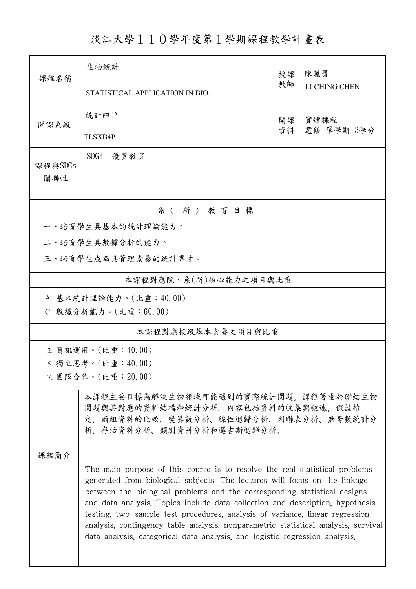## 淡江大學110學年度第1學期課程教學計畫表

| 課程名稱              | 生物統計                                                                                                                                                                                                                                                                                                                                                                                                                                                                                                                                                                         |          | 陳麗菁                |  |  |  |  |  |
|-------------------|------------------------------------------------------------------------------------------------------------------------------------------------------------------------------------------------------------------------------------------------------------------------------------------------------------------------------------------------------------------------------------------------------------------------------------------------------------------------------------------------------------------------------------------------------------------------------|----------|--------------------|--|--|--|--|--|
|                   | STATISTICAL APPLICATION IN BIO.                                                                                                                                                                                                                                                                                                                                                                                                                                                                                                                                              | 教師       | LI CHING CHEN      |  |  |  |  |  |
| 開課系級              | 統計四P                                                                                                                                                                                                                                                                                                                                                                                                                                                                                                                                                                         | 開課<br>資料 | 實體課程<br>選修 單學期 3學分 |  |  |  |  |  |
|                   | <b>TLSXB4P</b>                                                                                                                                                                                                                                                                                                                                                                                                                                                                                                                                                               |          |                    |  |  |  |  |  |
| 課程與SDGs<br>關聯性    | SDG4<br>優質教育                                                                                                                                                                                                                                                                                                                                                                                                                                                                                                                                                                 |          |                    |  |  |  |  |  |
| 系(所)教育目標          |                                                                                                                                                                                                                                                                                                                                                                                                                                                                                                                                                                              |          |                    |  |  |  |  |  |
|                   | 一、培育學生具基本的統計理論能力。                                                                                                                                                                                                                                                                                                                                                                                                                                                                                                                                                            |          |                    |  |  |  |  |  |
|                   | 二、培育學生具數據分析的能力。                                                                                                                                                                                                                                                                                                                                                                                                                                                                                                                                                              |          |                    |  |  |  |  |  |
|                   | 三、培育學生成為具管理素養的統計專才。                                                                                                                                                                                                                                                                                                                                                                                                                                                                                                                                                          |          |                    |  |  |  |  |  |
|                   | 本課程對應院、系(所)核心能力之項目與比重                                                                                                                                                                                                                                                                                                                                                                                                                                                                                                                                                        |          |                    |  |  |  |  |  |
|                   | A. 基本統計理論能力。(比重:40.00)                                                                                                                                                                                                                                                                                                                                                                                                                                                                                                                                                       |          |                    |  |  |  |  |  |
|                   | C. 數據分析能力。(比重:60.00)                                                                                                                                                                                                                                                                                                                                                                                                                                                                                                                                                         |          |                    |  |  |  |  |  |
| 本課程對應校級基本素養之項目與比重 |                                                                                                                                                                                                                                                                                                                                                                                                                                                                                                                                                                              |          |                    |  |  |  |  |  |
|                   | 2. 資訊運用。(比重:40.00)                                                                                                                                                                                                                                                                                                                                                                                                                                                                                                                                                           |          |                    |  |  |  |  |  |
|                   | 5. 獨立思考。(比重:40.00)                                                                                                                                                                                                                                                                                                                                                                                                                                                                                                                                                           |          |                    |  |  |  |  |  |
|                   | 7. 團隊合作。(比重: 20.00)                                                                                                                                                                                                                                                                                                                                                                                                                                                                                                                                                          |          |                    |  |  |  |  |  |
|                   | 本課程主要目標為解決生物領域可能遇到的實際統計問題。課程著重於聯結生物<br>問題與其對應的資料結構和統計分析,內容包括資料的收集與敘述、假設檢<br>定、兩組資料的比較、變異數分析、線性迴歸分析、列聯表分析、無母數統計分<br>析、存活資料分析、類別資料分析和邏吉斯迴歸分析。                                                                                                                                                                                                                                                                                                                                                                                                                                  |          |                    |  |  |  |  |  |
| 课程简介              |                                                                                                                                                                                                                                                                                                                                                                                                                                                                                                                                                                              |          |                    |  |  |  |  |  |
|                   | The main purpose of this course is to resolve the real statistical problems<br>generated from biological subjects. The lectures will focus on the linkage<br>between the biological problems and the corresponding statistical designs<br>and data analysis. Topics include data collection and description, hypothesis<br>testing, two-sample test procedures, analysis of variance, linear regression<br>analysis, contingency table analysis, nonparametric statistical analysis, survival<br>data analysis, categorical data analysis, and logistic regression analysis. |          |                    |  |  |  |  |  |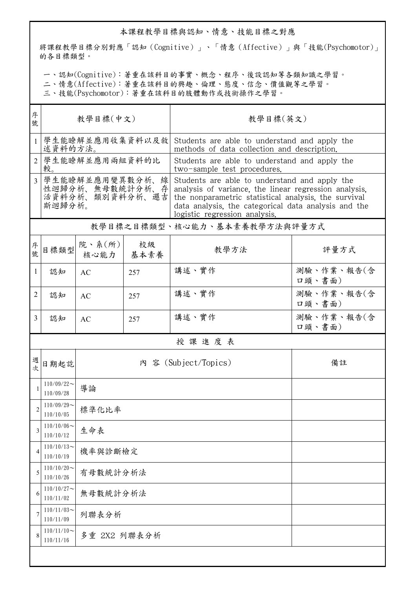## 本課程教學目標與認知、情意、技能目標之對應

將課程教學目標分別對應「認知(Cognitive)」、「情意(Affective)」與「技能(Psychomotor)」 的各目標類型。

一、認知(Cognitive):著重在該科目的事實、概念、程序、後設認知等各類知識之學習。

二、情意(Affective):著重在該科目的興趣、倫理、態度、信念、價值觀等之學習。

三、技能(Psychomotor):著重在該科目的肢體動作或技術操作之學習。

| 序<br>號         | 教學目標(中文)                                                        |                                                                                                                            |            | 教學目標(英文)                                                                                                                                                                                                                                                |                      |  |  |  |
|----------------|-----------------------------------------------------------------|----------------------------------------------------------------------------------------------------------------------------|------------|---------------------------------------------------------------------------------------------------------------------------------------------------------------------------------------------------------------------------------------------------------|----------------------|--|--|--|
|                |                                                                 | 學生能瞭解並應用收集資料以及敘<br>Students are able to understand and apply the<br>述資料的方法。<br>methods of data collection and description. |            |                                                                                                                                                                                                                                                         |                      |  |  |  |
| $\overline{2}$ | 學生能瞭解並應用兩組資料的比<br>較。                                            |                                                                                                                            |            | Students are able to understand and apply the<br>two-sample test procedures.                                                                                                                                                                            |                      |  |  |  |
| $\overline{3}$ | 學生能瞭解並應用變異數分析、線<br>性迴歸分析、無母數統計分析、存<br>活資料分析、類別資料分析、邏吉<br>斯迴歸分析。 |                                                                                                                            |            | Students are able to understand and apply the<br>analysis of variance, the linear regression analysis,<br>the nonparametric statistical analysis, the survival<br>data analysis, the categorical data analysis and the<br>logistic regression analysis. |                      |  |  |  |
|                |                                                                 |                                                                                                                            |            | 教學目標之目標類型、核心能力、基本素養教學方法與評量方式                                                                                                                                                                                                                            |                      |  |  |  |
| 序號             | 目標類型                                                            | 院、系 $(\kappa)$<br>核心能力                                                                                                     | 校級<br>基本素養 | 教學方法                                                                                                                                                                                                                                                    | 評量方式                 |  |  |  |
| 1              | 認知                                                              | AC                                                                                                                         | 257        | 講述、實作                                                                                                                                                                                                                                                   | 測驗、作業、報告(含<br>口頭、書面) |  |  |  |
| 2              | 認知                                                              | AC                                                                                                                         | 257        | 講述、實作                                                                                                                                                                                                                                                   | 測驗、作業、報告(含<br>口頭、書面) |  |  |  |
| 3              | 認知                                                              | AC                                                                                                                         | 257        | 講述、實作                                                                                                                                                                                                                                                   | 測驗、作業、報告(含<br>口頭、書面) |  |  |  |
|                | 授課進度表                                                           |                                                                                                                            |            |                                                                                                                                                                                                                                                         |                      |  |  |  |
| 週<br>。<br>次    | 日期起訖                                                            |                                                                                                                            |            | 內 容 (Subject/Topics)                                                                                                                                                                                                                                    | 備註                   |  |  |  |
| 1              | $110/09/22$ ~<br>110/09/28                                      | 導論                                                                                                                         |            |                                                                                                                                                                                                                                                         |                      |  |  |  |
| $\overline{c}$ | $110/09/29$ ~<br>110/10/05                                      | 標準化比率                                                                                                                      |            |                                                                                                                                                                                                                                                         |                      |  |  |  |
| 3              | $110/10/06 \sim$<br>110/10/12                                   | 生命表                                                                                                                        |            |                                                                                                                                                                                                                                                         |                      |  |  |  |
| 4              | $110/10/13$ ~<br>110/10/19                                      | 機率與診斷檢定                                                                                                                    |            |                                                                                                                                                                                                                                                         |                      |  |  |  |
| 5              | $110/10/20$ ~<br>110/10/26                                      | 有母數統計分析法                                                                                                                   |            |                                                                                                                                                                                                                                                         |                      |  |  |  |
| 6              | $110/10/27$ ~<br>110/11/02                                      | 無母數統計分析法                                                                                                                   |            |                                                                                                                                                                                                                                                         |                      |  |  |  |
| 7              | $110/11/03$ ~<br>110/11/09                                      | 列聯表分析                                                                                                                      |            |                                                                                                                                                                                                                                                         |                      |  |  |  |
| 8              | $110/11/10$ ~<br>110/11/16                                      | 多重 2X2 列聯表分析                                                                                                               |            |                                                                                                                                                                                                                                                         |                      |  |  |  |
|                |                                                                 |                                                                                                                            |            |                                                                                                                                                                                                                                                         |                      |  |  |  |